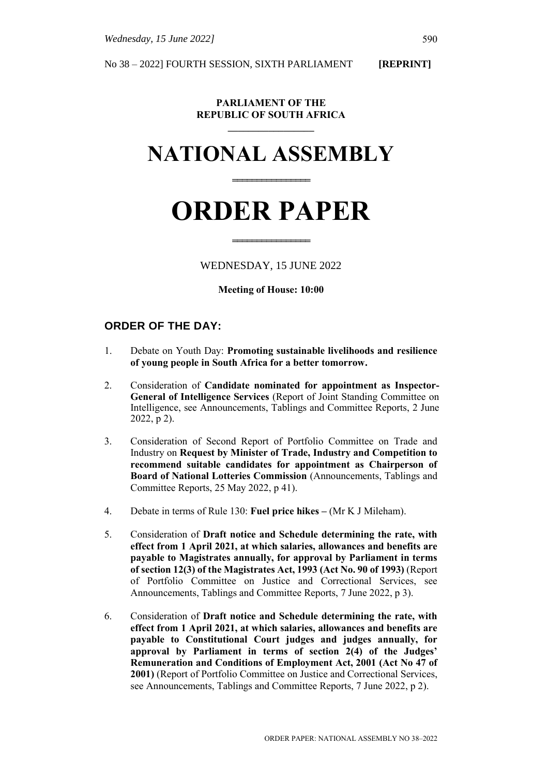No 38 – 2022] FOURTH SESSION, SIXTH PARLIAMENT **[REPRINT]**

# **PARLIAMENT OF THE REPUBLIC OF SOUTH AFRICA**

# **\_\_\_\_\_\_\_\_\_\_\_\_\_\_\_\_\_ NATIONAL ASSEMBLY**

# **ORDER PAPER**

**================**

#### WEDNESDAY, 15 JUNE 2022

**================**

#### **Meeting of House: 10:00**

# **ORDER OF THE DAY:**

- 1. Debate on Youth Day: **Promoting sustainable livelihoods and resilience of young people in South Africa for a better tomorrow.**
- 2. Consideration of **Candidate nominated for appointment as Inspector-General of Intelligence Services** (Report of Joint Standing Committee on Intelligence, see Announcements, Tablings and Committee Reports, 2 June 2022, p 2).
- 3. Consideration of Second Report of Portfolio Committee on Trade and Industry on **Request by Minister of Trade, Industry and Competition to recommend suitable candidates for appointment as Chairperson of Board of National Lotteries Commission** (Announcements, Tablings and Committee Reports, 25 May 2022, p 41).
- 4. Debate in terms of Rule 130: **Fuel price hikes –** (Mr K J Mileham).
- 5. Consideration of **Draft notice and Schedule determining the rate, with effect from 1 April 2021, at which salaries, allowances and benefits are payable to Magistrates annually, for approval by Parliament in terms of section 12(3) of the Magistrates Act, 1993 (Act No. 90 of 1993)** (Report of Portfolio Committee on Justice and Correctional Services, see Announcements, Tablings and Committee Reports, 7 June 2022, p 3).
- 6. Consideration of **Draft notice and Schedule determining the rate, with effect from 1 April 2021, at which salaries, allowances and benefits are payable to Constitutional Court judges and judges annually, for approval by Parliament in terms of section 2(4) of the Judges' Remuneration and Conditions of Employment Act, 2001 (Act No 47 of 2001)** (Report of Portfolio Committee on Justice and Correctional Services, see Announcements, Tablings and Committee Reports, 7 June 2022, p 2).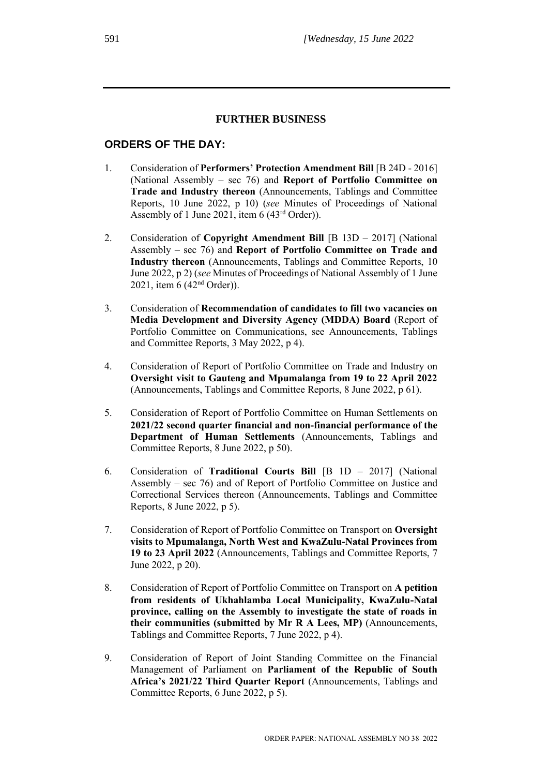#### **FURTHER BUSINESS**

#### **ORDERS OF THE DAY:**

- 1. Consideration of **Performers' Protection Amendment Bill** [B 24D 2016] (National Assembly – sec 76) and **Report of Portfolio Committee on Trade and Industry thereon** (Announcements, Tablings and Committee Reports, 10 June 2022, p 10) (*see* Minutes of Proceedings of National Assembly of 1 June 2021, item 6 (43rd Order)).
- 2. Consideration of **Copyright Amendment Bill** [B 13D 2017] (National Assembly – sec 76) and **Report of Portfolio Committee on Trade and Industry thereon** (Announcements, Tablings and Committee Reports, 10 June 2022, p 2) (*see* Minutes of Proceedings of National Assembly of 1 June 2021, item 6 (42nd Order)).
- 3. Consideration of **Recommendation of candidates to fill two vacancies on Media Development and Diversity Agency (MDDA) Board** (Report of Portfolio Committee on Communications, see Announcements, Tablings and Committee Reports, 3 May 2022, p 4).
- 4. Consideration of Report of Portfolio Committee on Trade and Industry on **Oversight visit to Gauteng and Mpumalanga from 19 to 22 April 2022** (Announcements, Tablings and Committee Reports, 8 June 2022, p 61).
- 5. Consideration of Report of Portfolio Committee on Human Settlements on **2021/22 second quarter financial and non-financial performance of the Department of Human Settlements** (Announcements, Tablings and Committee Reports, 8 June 2022, p 50).
- 6. Consideration of **Traditional Courts Bill** [B 1D 2017] (National Assembly – sec 76) and of Report of Portfolio Committee on Justice and Correctional Services thereon (Announcements, Tablings and Committee Reports, 8 June 2022, p 5).
- 7. Consideration of Report of Portfolio Committee on Transport on **Oversight visits to Mpumalanga, North West and KwaZulu-Natal Provinces from 19 to 23 April 2022** (Announcements, Tablings and Committee Reports, 7 June 2022, p 20).
- 8. Consideration of Report of Portfolio Committee on Transport on **A petition from residents of Ukhahlamba Local Municipality, KwaZulu-Natal province, calling on the Assembly to investigate the state of roads in their communities (submitted by Mr R A Lees, MP)** (Announcements, Tablings and Committee Reports, 7 June 2022, p 4).
- 9. Consideration of Report of Joint Standing Committee on the Financial Management of Parliament on **Parliament of the Republic of South Africa's 2021/22 Third Quarter Report** (Announcements, Tablings and Committee Reports, 6 June 2022, p 5).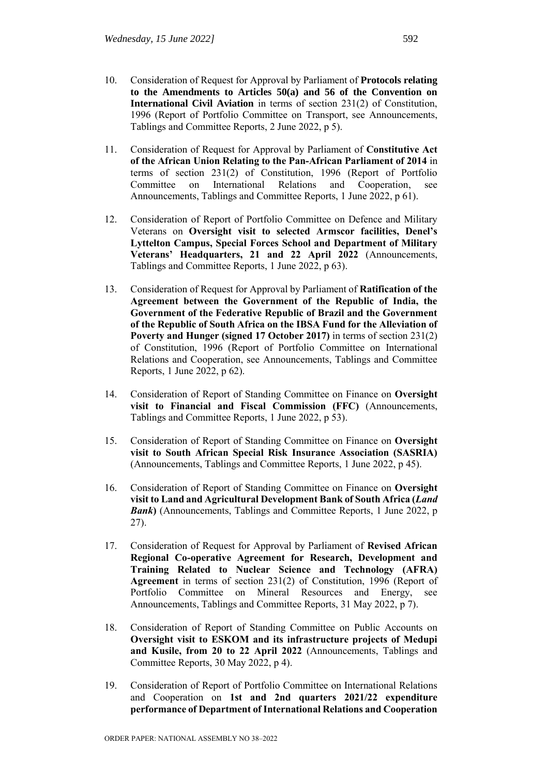- 10. Consideration of Request for Approval by Parliament of **Protocols relating to the Amendments to Articles 50(a) and 56 of the Convention on International Civil Aviation** in terms of section 231(2) of Constitution, 1996 (Report of Portfolio Committee on Transport, see Announcements, Tablings and Committee Reports, 2 June 2022, p 5).
- 11. Consideration of Request for Approval by Parliament of **Constitutive Act of the African Union Relating to the Pan-African Parliament of 2014** in terms of section 231(2) of Constitution, 1996 (Report of Portfolio Committee on International Relations and Cooperation, see Announcements, Tablings and Committee Reports, 1 June 2022, p 61).
- 12. Consideration of Report of Portfolio Committee on Defence and Military Veterans on **Oversight visit to selected Armscor facilities, Denel's Lyttelton Campus, Special Forces School and Department of Military Veterans' Headquarters, 21 and 22 April 2022** (Announcements, Tablings and Committee Reports, 1 June 2022, p 63).
- 13. Consideration of Request for Approval by Parliament of **Ratification of the Agreement between the Government of the Republic of India, the Government of the Federative Republic of Brazil and the Government of the Republic of South Africa on the IBSA Fund for the Alleviation of Poverty and Hunger (signed 17 October 2017)** in terms of section 231(2) of Constitution, 1996 (Report of Portfolio Committee on International Relations and Cooperation, see Announcements, Tablings and Committee Reports, 1 June 2022, p 62).
- 14. Consideration of Report of Standing Committee on Finance on **Oversight visit to Financial and Fiscal Commission (FFC)** (Announcements, Tablings and Committee Reports, 1 June 2022, p 53).
- 15. Consideration of Report of Standing Committee on Finance on **Oversight visit to South African Special Risk Insurance Association (SASRIA)**  (Announcements, Tablings and Committee Reports, 1 June 2022, p 45).
- 16. Consideration of Report of Standing Committee on Finance on **Oversight visit to Land and Agricultural Development Bank of South Africa (***Land Bank*) (Announcements, Tablings and Committee Reports, 1 June 2022, p 27).
- 17. Consideration of Request for Approval by Parliament of **Revised African Regional Co-operative Agreement for Research, Development and Training Related to Nuclear Science and Technology (AFRA) Agreement** in terms of section 231(2) of Constitution, 1996 (Report of Portfolio Committee on Mineral Resources and Energy, see Announcements, Tablings and Committee Reports, 31 May 2022, p 7).
- 18. Consideration of Report of Standing Committee on Public Accounts on **Oversight visit to ESKOM and its infrastructure projects of Medupi and Kusile, from 20 to 22 April 2022** (Announcements, Tablings and Committee Reports, 30 May 2022, p 4).
- 19. Consideration of Report of Portfolio Committee on International Relations and Cooperation on **1st and 2nd quarters 2021/22 expenditure performance of Department of International Relations and Cooperation**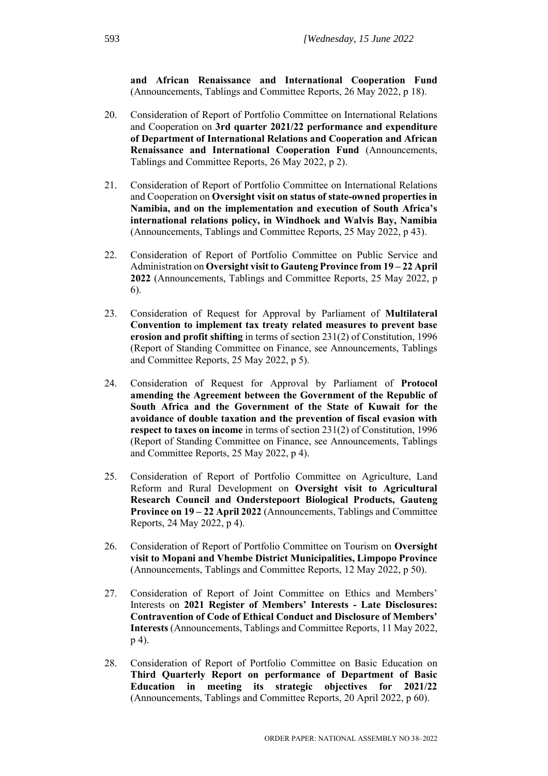**and African Renaissance and International Cooperation Fund**  (Announcements, Tablings and Committee Reports, 26 May 2022, p 18).

- 20. Consideration of Report of Portfolio Committee on International Relations and Cooperation on **3rd quarter 2021/22 performance and expenditure of Department of International Relations and Cooperation and African Renaissance and International Cooperation Fund** (Announcements, Tablings and Committee Reports, 26 May 2022, p 2).
- 21. Consideration of Report of Portfolio Committee on International Relations and Cooperation on **Oversight visit on status of state-owned properties in Namibia, and on the implementation and execution of South Africa's international relations policy, in Windhoek and Walvis Bay, Namibia** (Announcements, Tablings and Committee Reports, 25 May 2022, p 43).
- 22. Consideration of Report of Portfolio Committee on Public Service and Administration on **Oversight visit to Gauteng Province from 19 – 22 April 2022** (Announcements, Tablings and Committee Reports, 25 May 2022, p 6).
- 23. Consideration of Request for Approval by Parliament of **Multilateral Convention to implement tax treaty related measures to prevent base erosion and profit shifting** in terms of section 231(2) of Constitution, 1996 (Report of Standing Committee on Finance, see Announcements, Tablings and Committee Reports, 25 May 2022, p 5).
- 24. Consideration of Request for Approval by Parliament of **Protocol amending the Agreement between the Government of the Republic of South Africa and the Government of the State of Kuwait for the avoidance of double taxation and the prevention of fiscal evasion with respect to taxes on income** in terms of section 231(2) of Constitution, 1996 (Report of Standing Committee on Finance, see Announcements, Tablings and Committee Reports, 25 May 2022, p 4).
- 25. Consideration of Report of Portfolio Committee on Agriculture, Land Reform and Rural Development on **Oversight visit to Agricultural Research Council and Onderstepoort Biological Products, Gauteng Province on 19 – 22 April 2022** (Announcements, Tablings and Committee Reports, 24 May 2022, p 4).
- 26. Consideration of Report of Portfolio Committee on Tourism on **Oversight visit to Mopani and Vhembe District Municipalities, Limpopo Province** (Announcements, Tablings and Committee Reports, 12 May 2022, p 50).
- 27. Consideration of Report of Joint Committee on Ethics and Members' Interests on **2021 Register of Members' Interests - Late Disclosures: Contravention of Code of Ethical Conduct and Disclosure of Members' Interests** (Announcements, Tablings and Committee Reports, 11 May 2022, p 4).
- 28. Consideration of Report of Portfolio Committee on Basic Education on **Third Quarterly Report on performance of Department of Basic Education in meeting its strategic objectives for 2021/22** (Announcements, Tablings and Committee Reports, 20 April 2022, p 60).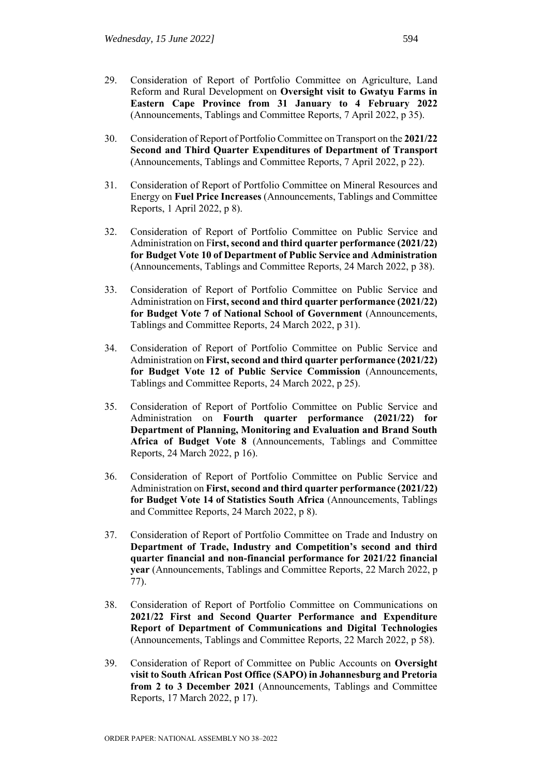- 29. Consideration of Report of Portfolio Committee on Agriculture, Land Reform and Rural Development on **Oversight visit to Gwatyu Farms in Eastern Cape Province from 31 January to 4 February 2022**  (Announcements, Tablings and Committee Reports, 7 April 2022, p 35).
- 30. Consideration of Report of Portfolio Committee on Transport on the **2021/22 Second and Third Quarter Expenditures of Department of Transport** (Announcements, Tablings and Committee Reports, 7 April 2022, p 22).
- 31. Consideration of Report of Portfolio Committee on Mineral Resources and Energy on **Fuel Price Increases** (Announcements, Tablings and Committee Reports, 1 April 2022, p 8).
- 32. Consideration of Report of Portfolio Committee on Public Service and Administration on F**irst, second and third quarter performance (2021/22) for Budget Vote 10 of Department of Public Service and Administration**  (Announcements, Tablings and Committee Reports, 24 March 2022, p 38).
- 33. Consideration of Report of Portfolio Committee on Public Service and Administration on F**irst, second and third quarter performance (2021/22) for Budget Vote 7 of National School of Government** (Announcements, Tablings and Committee Reports, 24 March 2022, p 31).
- 34. Consideration of Report of Portfolio Committee on Public Service and Administration on **First, second and third quarter performance (2021/22) for Budget Vote 12 of Public Service Commission** (Announcements, Tablings and Committee Reports, 24 March 2022, p 25).
- 35. Consideration of Report of Portfolio Committee on Public Service and Administration on **Fourth quarter performance (2021/22) for Department of Planning, Monitoring and Evaluation and Brand South Africa of Budget Vote 8** (Announcements, Tablings and Committee Reports, 24 March 2022, p 16).
- 36. Consideration of Report of Portfolio Committee on Public Service and Administration on **First, second and third quarter performance (2021/22) for Budget Vote 14 of Statistics South Africa** (Announcements, Tablings and Committee Reports, 24 March 2022, p 8).
- 37. Consideration of Report of Portfolio Committee on Trade and Industry on **Department of Trade, Industry and Competition's second and third quarter financial and non-financial performance for 2021/22 financial year** (Announcements, Tablings and Committee Reports, 22 March 2022, p 77).
- 38. Consideration of Report of Portfolio Committee on Communications on **2021/22 First and Second Quarter Performance and Expenditure Report of Department of Communications and Digital Technologies**  (Announcements, Tablings and Committee Reports, 22 March 2022, p 58).
- 39. Consideration of Report of Committee on Public Accounts on **Oversight visit to South African Post Office (SAPO) in Johannesburg and Pretoria from 2 to 3 December 2021** (Announcements, Tablings and Committee Reports, 17 March 2022, p 17).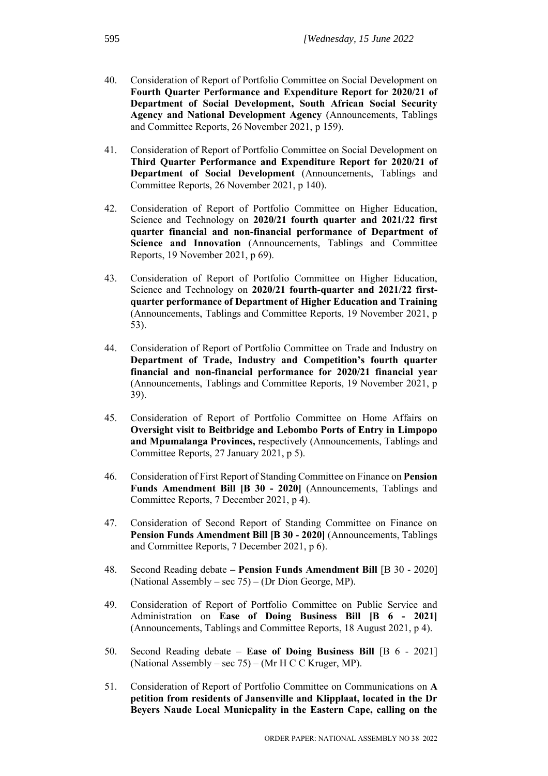- 40. Consideration of Report of Portfolio Committee on Social Development on **Fourth Quarter Performance and Expenditure Report for 2020/21 of Department of Social Development, South African Social Security Agency and National Development Agency** (Announcements, Tablings and Committee Reports, 26 November 2021, p 159).
- 41. Consideration of Report of Portfolio Committee on Social Development on **Third Quarter Performance and Expenditure Report for 2020/21 of Department of Social Development** (Announcements, Tablings and Committee Reports, 26 November 2021, p 140).
- 42. Consideration of Report of Portfolio Committee on Higher Education, Science and Technology on **2020/21 fourth quarter and 2021/22 first quarter financial and non-financial performance of Department of Science and Innovation** (Announcements, Tablings and Committee Reports, 19 November 2021, p 69).
- 43. Consideration of Report of Portfolio Committee on Higher Education, Science and Technology on **2020/21 fourth-quarter and 2021/22 firstquarter performance of Department of Higher Education and Training** (Announcements, Tablings and Committee Reports, 19 November 2021, p 53).
- 44. Consideration of Report of Portfolio Committee on Trade and Industry on **Department of Trade, Industry and Competition's fourth quarter financial and non-financial performance for 2020/21 financial year** (Announcements, Tablings and Committee Reports, 19 November 2021, p 39).
- 45. Consideration of Report of Portfolio Committee on Home Affairs on **Oversight visit to Beitbridge and Lebombo Ports of Entry in Limpopo and Mpumalanga Provinces,** respectively (Announcements, Tablings and Committee Reports, 27 January 2021, p 5).
- 46. Consideration of First Report of Standing Committee on Finance on **Pension Funds Amendment Bill [B 30 - 2020]** (Announcements, Tablings and Committee Reports, 7 December 2021, p 4).
- 47. Consideration of Second Report of Standing Committee on Finance on **Pension Funds Amendment Bill [B 30 - 2020]** (Announcements, Tablings and Committee Reports, 7 December 2021, p 6).
- 48. Second Reading debate **– Pension Funds Amendment Bill** [B 30 2020] (National Assembly – sec 75) – (Dr Dion George, MP).
- 49. Consideration of Report of Portfolio Committee on Public Service and Administration on **Ease of Doing Business Bill [B 6 - 2021]** (Announcements, Tablings and Committee Reports, 18 August 2021, p 4).
- 50. Second Reading debate **Ease of Doing Business Bill** [B 6 2021] (National Assembly – sec 75) – (Mr H C C Kruger, MP).
- 51. Consideration of Report of Portfolio Committee on Communications on **A petition from residents of Jansenville and Klipplaat, located in the Dr Beyers Naude Local Municpality in the Eastern Cape, calling on the**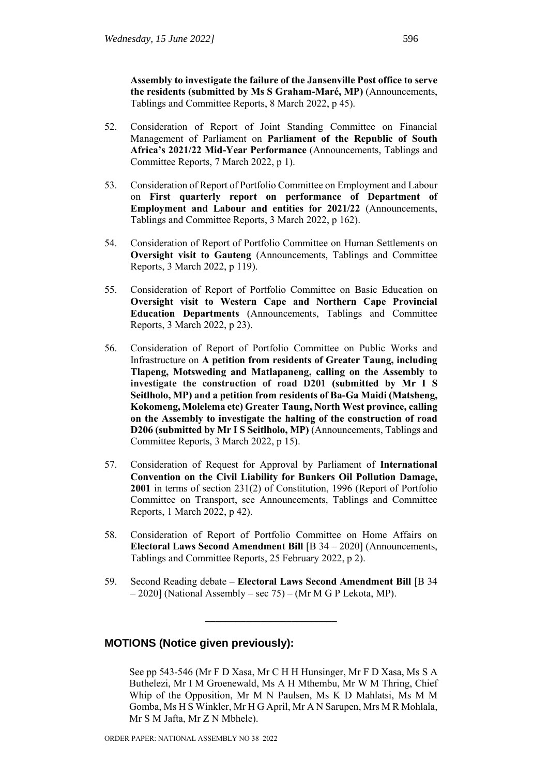**Assembly to investigate the failure of the Jansenville Post office to serve the residents (submitted by Ms S Graham-Maré, MP)** (Announcements, Tablings and Committee Reports, 8 March 2022, p 45).

- 52. Consideration of Report of Joint Standing Committee on Financial Management of Parliament on **Parliament of the Republic of South Africa's 2021/22 Mid-Year Performance** (Announcements, Tablings and Committee Reports, 7 March 2022, p 1).
- 53. Consideration of Report of Portfolio Committee on Employment and Labour on **First quarterly report on performance of Department of Employment and Labour and entities for 2021/22** (Announcements, Tablings and Committee Reports, 3 March 2022, p 162).
- 54. Consideration of Report of Portfolio Committee on Human Settlements on **Oversight visit to Gauteng** (Announcements, Tablings and Committee Reports, 3 March 2022, p 119).
- 55. Consideration of Report of Portfolio Committee on Basic Education on **Oversight visit to Western Cape and Northern Cape Provincial Education Departments** (Announcements, Tablings and Committee Reports, 3 March 2022, p 23).
- 56. Consideration of Report of Portfolio Committee on Public Works and Infrastructure on **A petition from residents of Greater Taung, including Tlapeng, Motsweding and Matlapaneng, calling on the Assembly to investigate the construction of road D201 (submitted by Mr I S Seitlholo, MP) and a petition from residents of Ba-Ga Maidi (Matsheng, Kokomeng, Molelema etc) Greater Taung, North West province, calling on the Assembly to investigate the halting of the construction of road D206 (submitted by Mr I S Seitlholo, MP)** (Announcements, Tablings and Committee Reports, 3 March 2022, p 15).
- 57. Consideration of Request for Approval by Parliament of **International Convention on the Civil Liability for Bunkers Oil Pollution Damage, 2001** in terms of section 231(2) of Constitution, 1996 (Report of Portfolio Committee on Transport, see Announcements, Tablings and Committee Reports, 1 March 2022, p 42).
- 58. Consideration of Report of Portfolio Committee on Home Affairs on **Electoral Laws Second Amendment Bill** [B 34 – 2020] (Announcements, Tablings and Committee Reports, 25 February 2022, p 2).
- 59. Second Reading debate **Electoral Laws Second Amendment Bill** [B 34 – 2020] (National Assembly – sec 75) – (Mr M G P Lekota, MP).

**\_\_\_\_\_\_\_\_\_\_\_\_\_\_\_\_\_\_\_\_\_\_\_\_\_\_**

#### **MOTIONS (Notice given previously):**

See pp 543-546 (Mr F D Xasa, Mr C H H Hunsinger, Mr F D Xasa, Ms S A Buthelezi, Mr I M Groenewald, Ms A H Mthembu, Mr W M Thring, Chief Whip of the Opposition, Mr M N Paulsen, Ms K D Mahlatsi, Ms M M Gomba, Ms H S Winkler, Mr H G April, Mr A N Sarupen, Mrs M R Mohlala, Mr S M Jafta, Mr Z N Mbhele).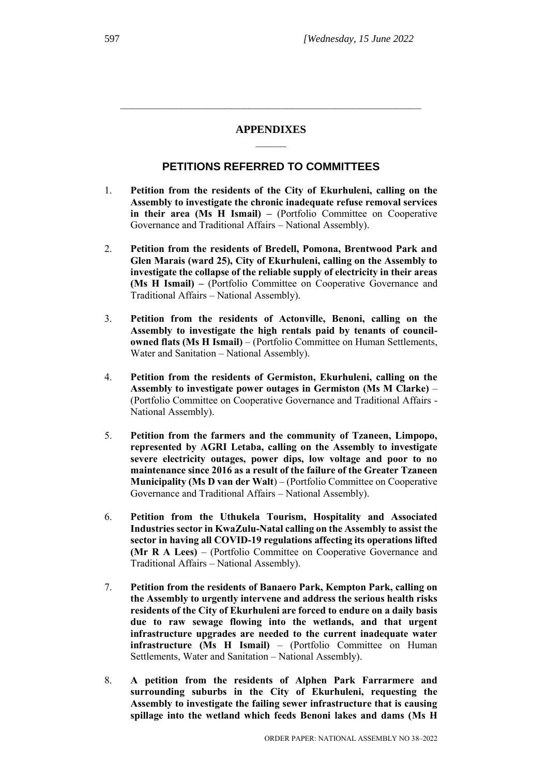**\_\_\_\_\_\_\_\_\_\_\_\_\_\_\_\_\_\_\_\_\_\_\_\_\_\_\_\_\_\_\_\_\_\_\_\_\_\_\_\_\_\_\_\_\_\_\_\_\_**

#### **PETITIONS REFERRED TO COMMITTEES**

- 1. **Petition from the residents of the City of Ekurhuleni, calling on the Assembly to investigate the chronic inadequate refuse removal services in their area (Ms H Ismail) –** (Portfolio Committee on Cooperative Governance and Traditional Affairs – National Assembly).
- 2. **Petition from the residents of Bredell, Pomona, Brentwood Park and Glen Marais (ward 25), City of Ekurhuleni, calling on the Assembly to investigate the collapse of the reliable supply of electricity in their areas (Ms H Ismail) –** (Portfolio Committee on Cooperative Governance and Traditional Affairs – National Assembly).
- 3. **Petition from the residents of Actonville, Benoni, calling on the Assembly to investigate the high rentals paid by tenants of councilowned flats (Ms H Ismail)** – (Portfolio Committee on Human Settlements, Water and Sanitation – National Assembly).
- 4. **Petition from the residents of Germiston, Ekurhuleni, calling on the Assembly to investigate power outages in Germiston (Ms M Clarke)** – (Portfolio Committee on Cooperative Governance and Traditional Affairs - National Assembly).
- 5. **Petition from the farmers and the community of Tzaneen, Limpopo, represented by AGRI Letaba, calling on the Assembly to investigate severe electricity outages, power dips, low voltage and poor to no maintenance since 2016 as a result of the failure of the Greater Tzaneen Municipality (Ms D van der Walt**) – (Portfolio Committee on Cooperative Governance and Traditional Affairs – National Assembly).
- 6. **Petition from the Uthukela Tourism, Hospitality and Associated Industries sector in KwaZulu-Natal calling on the Assembly to assist the sector in having all COVID-19 regulations affecting its operations lifted (Mr R A Lees)** – (Portfolio Committee on Cooperative Governance and Traditional Affairs – National Assembly).
- 7. **Petition from the residents of Banaero Park, Kempton Park, calling on the Assembly to urgently intervene and address the serious health risks residents of the City of Ekurhuleni are forced to endure on a daily basis due to raw sewage flowing into the wetlands, and that urgent infrastructure upgrades are needed to the current inadequate water infrastructure (Ms H Ismail)** – (Portfolio Committee on Human Settlements, Water and Sanitation – National Assembly).
- 8. **A petition from the residents of Alphen Park Farrarmere and surrounding suburbs in the City of Ekurhuleni, requesting the Assembly to investigate the failing sewer infrastructure that is causing spillage into the wetland which feeds Benoni lakes and dams (Ms H**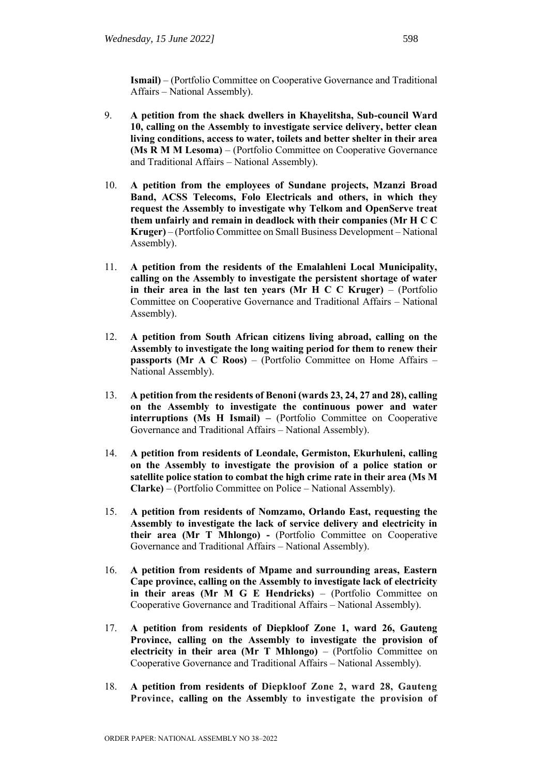**Ismail)** – (Portfolio Committee on Cooperative Governance and Traditional Affairs – National Assembly).

- 9. **A petition from the shack dwellers in Khayelitsha, Sub-council Ward 10, calling on the Assembly to investigate service delivery, better clean living conditions, access to water, toilets and better shelter in their area (Ms R M M Lesoma)** – (Portfolio Committee on Cooperative Governance and Traditional Affairs – National Assembly).
- 10. **A petition from the employees of Sundane projects, Mzanzi Broad Band, ACSS Telecoms, Folo Electricals and others, in which they request the Assembly to investigate why Telkom and OpenServe treat them unfairly and remain in deadlock with their companies (Mr H C C Kruger)** – (Portfolio Committee on Small Business Development – National Assembly).
- 11. **A petition from the residents of the Emalahleni Local Municipality, calling on the Assembly to investigate the persistent shortage of water in their area in the last ten years (Mr H C C Kruger)** – (Portfolio Committee on Cooperative Governance and Traditional Affairs – National Assembly).
- 12. **A petition from South African citizens living abroad, calling on the Assembly to investigate the long waiting period for them to renew their passports (Mr A C Roos)** – (Portfolio Committee on Home Affairs – National Assembly).
- 13. **A petition from the residents of Benoni (wards 23, 24, 27 and 28), calling on the Assembly to investigate the continuous power and water interruptions (Ms H Ismail) –** (Portfolio Committee on Cooperative Governance and Traditional Affairs – National Assembly).
- 14. **A petition from residents of Leondale, Germiston, Ekurhuleni, calling on the Assembly to investigate the provision of a police station or satellite police station to combat the high crime rate in their area (Ms M Clarke)** – (Portfolio Committee on Police – National Assembly).
- 15. **A petition from residents of Nomzamo, Orlando East, requesting the Assembly to investigate the lack of service delivery and electricity in their area (Mr T Mhlongo) -** (Portfolio Committee on Cooperative Governance and Traditional Affairs – National Assembly).
- 16. **A petition from residents of Mpame and surrounding areas, Eastern Cape province, calling on the Assembly to investigate lack of electricity in their areas (Mr M G E Hendricks)** – (Portfolio Committee on Cooperative Governance and Traditional Affairs – National Assembly).
- 17. **A petition from residents of Diepkloof Zone 1, ward 26, Gauteng Province, calling on the Assembly to investigate the provision of electricity in their area (Mr T Mhlongo)** – (Portfolio Committee on Cooperative Governance and Traditional Affairs – National Assembly).
- 18. **A petition from residents of Diepkloof Zone 2, ward 28, Gauteng Province, calling on the Assembly to investigate the provision of**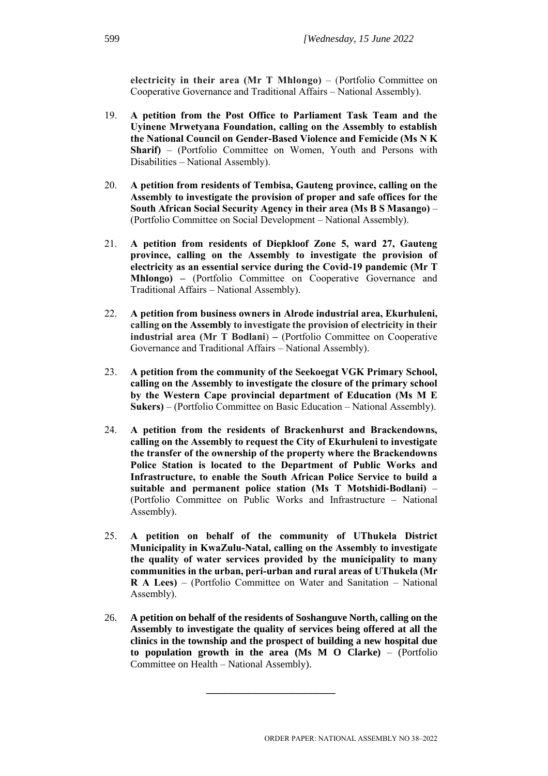**electricity in their area (Mr T Mhlongo)** – (Portfolio Committee on Cooperative Governance and Traditional Affairs – National Assembly).

- 19. **A petition from the Post Office to Parliament Task Team and the Uyinene Mrwetyana Foundation, calling on the Assembly to establish the National Council on Gender-Based Violence and Femicide (Ms N K Sharif)** – (Portfolio Committee on Women, Youth and Persons with Disabilities – National Assembly).
- 20. **A petition from residents of Tembisa, Gauteng province, calling on the Assembly to investigate the provision of proper and safe offices for the South African Social Security Agency in their area (Ms B S Masango)** – (Portfolio Committee on Social Development – National Assembly).
- 21. **A petition from residents of Diepkloof Zone 5, ward 27, Gauteng province, calling on the Assembly to investigate the provision of electricity as an essential service during the Covid-19 pandemic (Mr T Mhlongo) –** (Portfolio Committee on Cooperative Governance and Traditional Affairs – National Assembly).
- 22. **A petition from business owners in Alrode industrial area, Ekurhuleni, calling on the Assembly to investigate the provision of electricity in their industrial area (Mr T Bodlani**) **–** (Portfolio Committee on Cooperative Governance and Traditional Affairs – National Assembly).
- 23. **A petition from the community of the Seekoegat VGK Primary School, calling on the Assembly to investigate the closure of the primary school by the Western Cape provincial department of Education (Ms M E Sukers)** – (Portfolio Committee on Basic Education – National Assembly).
- 24. **A petition from the residents of Brackenhurst and Brackendowns, calling on the Assembly to request the City of Ekurhuleni to investigate the transfer of the ownership of the property where the Brackendowns Police Station is located to the Department of Public Works and Infrastructure, to enable the South African Police Service to build a suitable and permanent police station (Ms T Motshidi-Bodlani)** – (Portfolio Committee on Public Works and Infrastructure – National Assembly).
- 25. **A petition on behalf of the community of UThukela District Municipality in KwaZulu-Natal, calling on the Assembly to investigate the quality of water services provided by the municipality to many communities in the urban, peri-urban and rural areas of UThukela (Mr R A Lees)** – (Portfolio Committee on Water and Sanitation – National Assembly).
- 26. **A petition on behalf of the residents of Soshanguve North, calling on the Assembly to investigate the quality of services being offered at all the clinics in the township and the prospect of building a new hospital due to population growth in the area (Ms M O Clarke)** – (Portfolio Committee on Health – National Assembly).

\_\_\_\_\_\_\_\_\_\_\_\_\_\_\_\_\_\_\_\_\_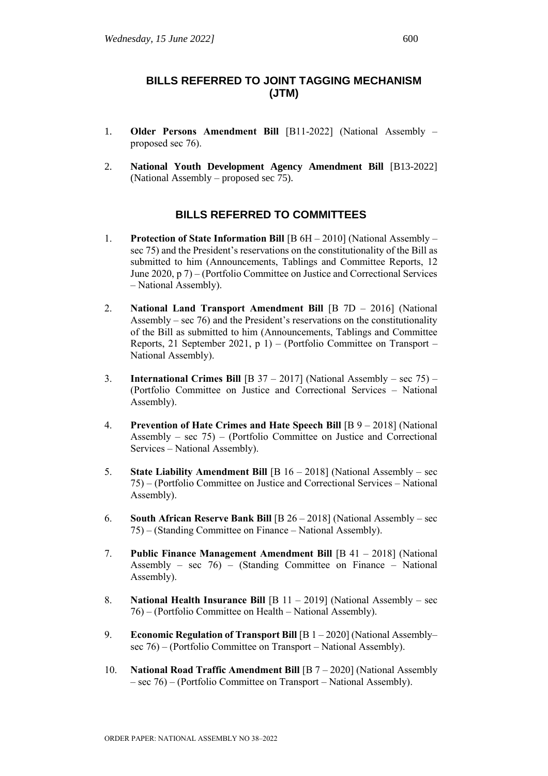# **BILLS REFERRED TO JOINT TAGGING MECHANISM (JTM)**

- 1. **Older Persons Amendment Bill** [B11-2022] (National Assembly proposed sec 76).
- 2. **National Youth Development Agency Amendment Bill** [B13-2022] (National Assembly – proposed sec 75).

# **BILLS REFERRED TO COMMITTEES**

- 1. **Protection of State Information Bill** [B 6H 2010] (National Assembly sec 75) and the President's reservations on the constitutionality of the Bill as submitted to him (Announcements, Tablings and Committee Reports, 12 June 2020, p 7) – (Portfolio Committee on Justice and Correctional Services – National Assembly).
- 2. **National Land Transport Amendment Bill** [B 7D 2016] (National Assembly – sec 76) and the President's reservations on the constitutionality of the Bill as submitted to him (Announcements, Tablings and Committee Reports, 21 September 2021, p 1) – (Portfolio Committee on Transport – National Assembly).
- 3. **International Crimes Bill** [B 37 2017] (National Assembly sec 75) (Portfolio Committee on Justice and Correctional Services – National Assembly).
- 4. **Prevention of Hate Crimes and Hate Speech Bill** [B 9 2018] (National Assembly – sec  $75$ ) – (Portfolio Committee on Justice and Correctional Services – National Assembly).
- 5. **State Liability Amendment Bill** [B 16 2018] (National Assembly sec 75) – (Portfolio Committee on Justice and Correctional Services – National Assembly).
- 6. **South African Reserve Bank Bill** [B 26 2018] (National Assembly sec 75) – (Standing Committee on Finance – National Assembly).
- 7. **Public Finance Management Amendment Bill** [B 41 2018] (National Assembly – sec 76) – (Standing Committee on Finance – National Assembly).
- 8. **National Health Insurance Bill** [B 11 2019] (National Assembly sec 76) – (Portfolio Committee on Health – National Assembly).
- 9. **Economic Regulation of Transport Bill** [B 1 2020] (National Assembly– sec 76) – (Portfolio Committee on Transport – National Assembly).
- 10. **National Road Traffic Amendment Bill** [B 7 2020] (National Assembly – sec 76) – (Portfolio Committee on Transport – National Assembly).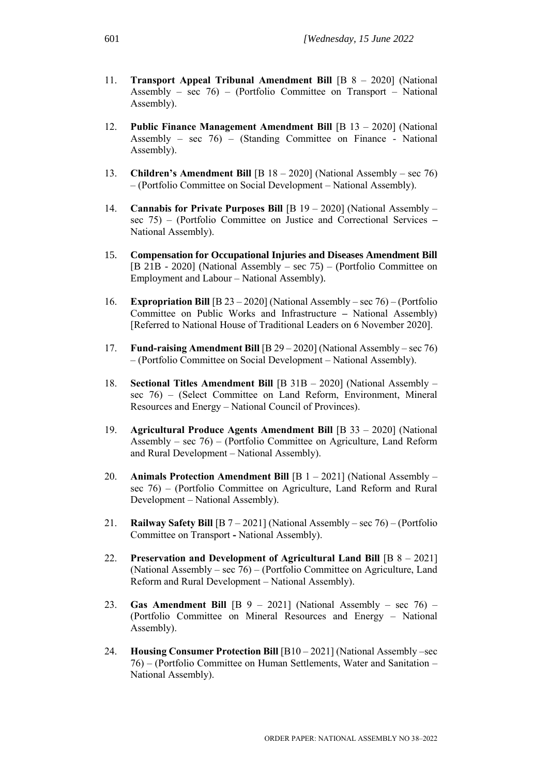- 11. **Transport Appeal Tribunal Amendment Bill** [B 8 2020] (National Assembly – sec 76) – (Portfolio Committee on Transport – National Assembly).
- 12. **Public Finance Management Amendment Bill** [B 13 2020] (National Assembly – sec  $76$ ) – (Standing Committee on Finance - National Assembly).
- 13. **Children's Amendment Bill** [B 18 2020] (National Assembly sec 76) – (Portfolio Committee on Social Development – National Assembly).
- 14. **Cannabis for Private Purposes Bill** [B 19 2020] (National Assembly sec 75) – (Portfolio Committee on Justice and Correctional Services **–** National Assembly).
- 15. **Compensation for Occupational Injuries and Diseases Amendment Bill** [B 21B - 2020] (National Assembly – sec 75) – (Portfolio Committee on Employment and Labour – National Assembly).
- 16. **Expropriation Bill** [B 23 2020] (National Assembly sec 76) (Portfolio Committee on Public Works and Infrastructure **–** National Assembly) [Referred to National House of Traditional Leaders on 6 November 2020].
- 17. **Fund-raising Amendment Bill** [B 29 2020] (National Assembly sec 76) – (Portfolio Committee on Social Development – National Assembly).
- 18. **Sectional Titles Amendment Bill** [B 31B 2020] (National Assembly sec 76) – (Select Committee on Land Reform, Environment, Mineral Resources and Energy – National Council of Provinces).
- 19. **Agricultural Produce Agents Amendment Bill** [B 33 2020] (National Assembly – sec 76) – (Portfolio Committee on Agriculture, Land Reform and Rural Development – National Assembly).
- 20. **Animals Protection Amendment Bill** [B 1 2021] (National Assembly sec 76) – (Portfolio Committee on Agriculture, Land Reform and Rural Development – National Assembly).
- 21. **Railway Safety Bill** [B 7 2021] (National Assembly sec 76) (Portfolio Committee on Transport **-** National Assembly).
- 22. **Preservation and Development of Agricultural Land Bill** [B 8 2021] (National Assembly – sec 76) – (Portfolio Committee on Agriculture, Land Reform and Rural Development – National Assembly).
- 23. **Gas Amendment Bill** [B 9 2021] (National Assembly sec 76) (Portfolio Committee on Mineral Resources and Energy – National Assembly).
- 24. **Housing Consumer Protection Bill** [B10 2021] (National Assembly –sec 76) – (Portfolio Committee on Human Settlements, Water and Sanitation – National Assembly).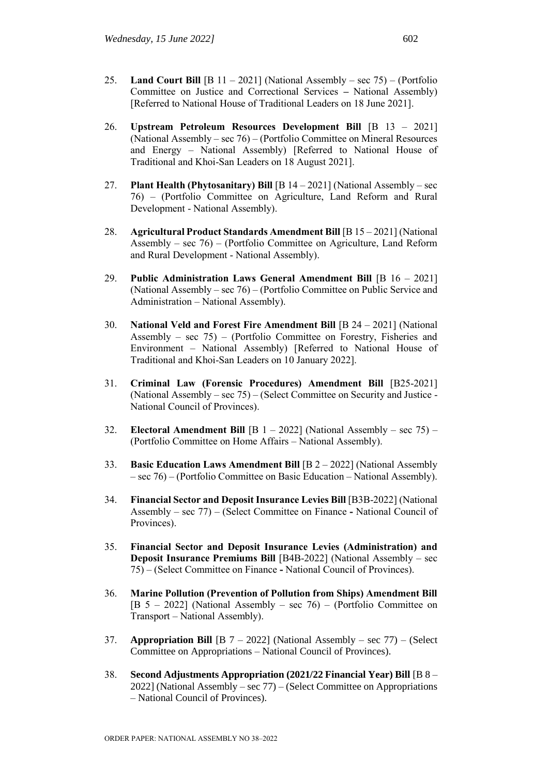- 25. **Land Court Bill** [B 11 2021] (National Assembly sec 75) (Portfolio Committee on Justice and Correctional Services **–** National Assembly) [Referred to National House of Traditional Leaders on 18 June 2021].
- 26. **Upstream Petroleum Resources Development Bill** [B 13 2021] (National Assembly – sec 76) – (Portfolio Committee on Mineral Resources and Energy – National Assembly) [Referred to National House of Traditional and Khoi-San Leaders on 18 August 2021].
- 27. **Plant Health (Phytosanitary) Bill** [B 14 2021] (National Assembly sec 76) – (Portfolio Committee on Agriculture, Land Reform and Rural Development - National Assembly).
- 28. **Agricultural Product Standards Amendment Bill** [B 15 2021] (National Assembly – sec 76) – (Portfolio Committee on Agriculture, Land Reform and Rural Development - National Assembly).
- 29. **Public Administration Laws General Amendment Bill** [B 16 2021] (National Assembly – sec 76) – (Portfolio Committee on Public Service and Administration – National Assembly).
- 30. **National Veld and Forest Fire Amendment Bill** [B 24 2021] (National Assembly – sec 75) – (Portfolio Committee on Forestry, Fisheries and Environment – National Assembly) [Referred to National House of Traditional and Khoi-San Leaders on 10 January 2022].
- 31. **Criminal Law (Forensic Procedures) Amendment Bill** [B25-2021] (National Assembly – sec 75) – (Select Committee on Security and Justice - National Council of Provinces).
- 32. **Electoral Amendment Bill** [B 1 2022] (National Assembly sec 75) (Portfolio Committee on Home Affairs – National Assembly).
- 33. **Basic Education Laws Amendment Bill** [B 2 2022] (National Assembly – sec 76) – (Portfolio Committee on Basic Education – National Assembly).
- 34. **Financial Sector and Deposit Insurance Levies Bill** [B3B-2022] (National Assembly – sec 77) – (Select Committee on Finance **-** National Council of Provinces).
- 35. **Financial Sector and Deposit Insurance Levies (Administration) and Deposit Insurance Premiums Bill** [B4B-2022] (National Assembly – sec 75) – (Select Committee on Finance **-** National Council of Provinces).
- 36. **Marine Pollution (Prevention of Pollution from Ships) Amendment Bill**  [B 5 – 2022] (National Assembly – sec 76) – (Portfolio Committee on Transport – National Assembly).
- 37. **Appropriation Bill** [B 7 2022] (National Assembly sec 77) (Select Committee on Appropriations – National Council of Provinces).
- 38. **Second Adjustments Appropriation (2021/22 Financial Year) Bill** [B 8 2022] (National Assembly – sec 77) – (Select Committee on Appropriations – National Council of Provinces).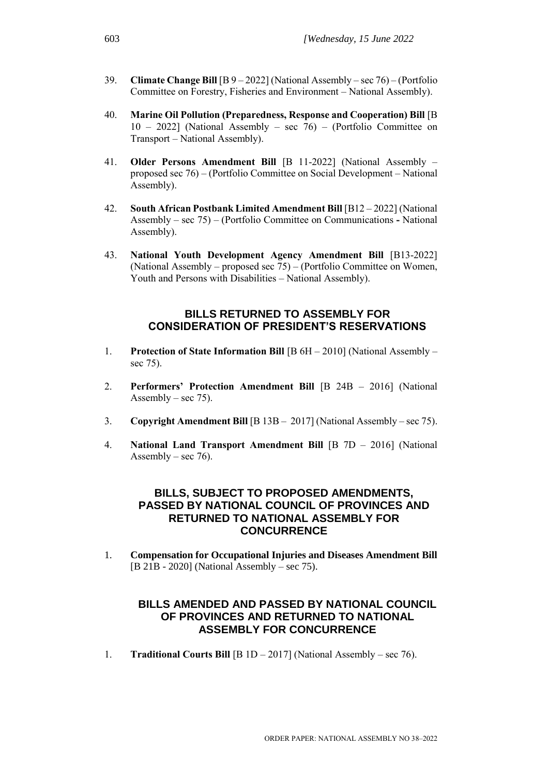- 39. **Climate Change Bill** [B 9 2022] (National Assembly sec 76) (Portfolio Committee on Forestry, Fisheries and Environment – National Assembly).
- 40. **Marine Oil Pollution (Preparedness, Response and Cooperation) Bill** [B 10 – 2022] (National Assembly – sec 76) – (Portfolio Committee on Transport – National Assembly).
- 41. **Older Persons Amendment Bill** [B 11-2022] (National Assembly proposed sec 76) – (Portfolio Committee on Social Development – National Assembly).
- 42. **South African Postbank Limited Amendment Bill** [B12 2022] (National Assembly – sec 75) – (Portfolio Committee on Communications **-** National Assembly).
- 43. **National Youth Development Agency Amendment Bill** [B13-2022] (National Assembly – proposed sec 75) – (Portfolio Committee on Women, Youth and Persons with Disabilities – National Assembly).

#### **BILLS RETURNED TO ASSEMBLY FOR CONSIDERATION OF PRESIDENT'S RESERVATIONS**

- 1. **Protection of State Information Bill** [B 6H 2010] (National Assembly sec 75).
- 2. **Performers' Protection Amendment Bill** [B 24B 2016] (National Assembly – sec  $75$ ).
- 3. **Copyright Amendment Bill** [B 13B 2017] (National Assembly sec 75).
- 4. **National Land Transport Amendment Bill** [B 7D 2016] (National Assembly – sec 76).

# **BILLS, SUBJECT TO PROPOSED AMENDMENTS, PASSED BY NATIONAL COUNCIL OF PROVINCES AND RETURNED TO NATIONAL ASSEMBLY FOR CONCURRENCE**

1. **Compensation for Occupational Injuries and Diseases Amendment Bill** [B 21B - 2020] (National Assembly – sec 75).

# **BILLS AMENDED AND PASSED BY NATIONAL COUNCIL OF PROVINCES AND RETURNED TO NATIONAL ASSEMBLY FOR CONCURRENCE**

1. **Traditional Courts Bill** [B 1D – 2017] (National Assembly – sec 76).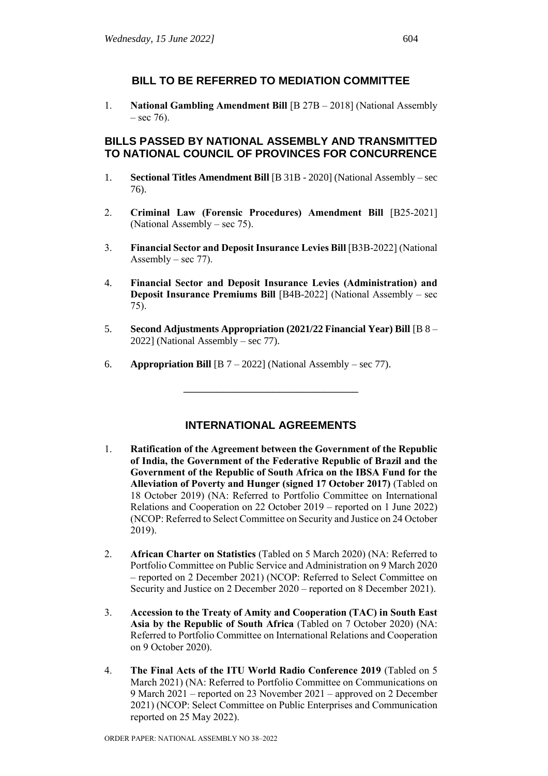# **BILL TO BE REFERRED TO MEDIATION COMMITTEE**

1. **National Gambling Amendment Bill** [B 27B – 2018] (National Assembly  $-$  sec 76).

# **BILLS PASSED BY NATIONAL ASSEMBLY AND TRANSMITTED TO NATIONAL COUNCIL OF PROVINCES FOR CONCURRENCE**

- 1. **Sectional Titles Amendment Bill** [B 31B 2020] (National Assembly sec 76).
- 2. **Criminal Law (Forensic Procedures) Amendment Bill** [B25-2021] (National Assembly – sec 75).
- 3. **Financial Sector and Deposit Insurance Levies Bill** [B3B-2022] (National Assembly – sec  $77$ ).
- 4. **Financial Sector and Deposit Insurance Levies (Administration) and Deposit Insurance Premiums Bill** [B4B-2022] (National Assembly – sec 75).
- 5. **Second Adjustments Appropriation (2021/22 Financial Year) Bill** [B 8 2022] (National Assembly – sec 77).
- 6. **Appropriation Bill** [B 7 2022] (National Assembly sec 77).

# **INTERNATIONAL AGREEMENTS**

\_\_\_\_\_\_\_\_\_\_\_\_\_\_\_\_\_\_\_\_\_\_\_\_\_\_\_\_\_\_\_

- 1. **Ratification of the Agreement between the Government of the Republic of India, the Government of the Federative Republic of Brazil and the Government of the Republic of South Africa on the IBSA Fund for the Alleviation of Poverty and Hunger (signed 17 October 2017)** (Tabled on 18 October 2019) (NA: Referred to Portfolio Committee on International Relations and Cooperation on 22 October 2019 – reported on 1 June 2022) (NCOP: Referred to Select Committee on Security and Justice on 24 October 2019).
- 2. **African Charter on Statistics** (Tabled on 5 March 2020) (NA: Referred to Portfolio Committee on Public Service and Administration on 9 March 2020 – reported on 2 December 2021) (NCOP: Referred to Select Committee on Security and Justice on 2 December 2020 – reported on 8 December 2021).
- 3. **Accession to the Treaty of Amity and Cooperation (TAC) in South East Asia by the Republic of South Africa** (Tabled on 7 October 2020) (NA: Referred to Portfolio Committee on International Relations and Cooperation on 9 October 2020).
- 4. **The Final Acts of the ITU World Radio Conference 2019** (Tabled on 5 March 2021) (NA: Referred to Portfolio Committee on Communications on 9 March 2021 – reported on 23 November 2021 – approved on 2 December 2021) (NCOP: Select Committee on Public Enterprises and Communication reported on 25 May 2022).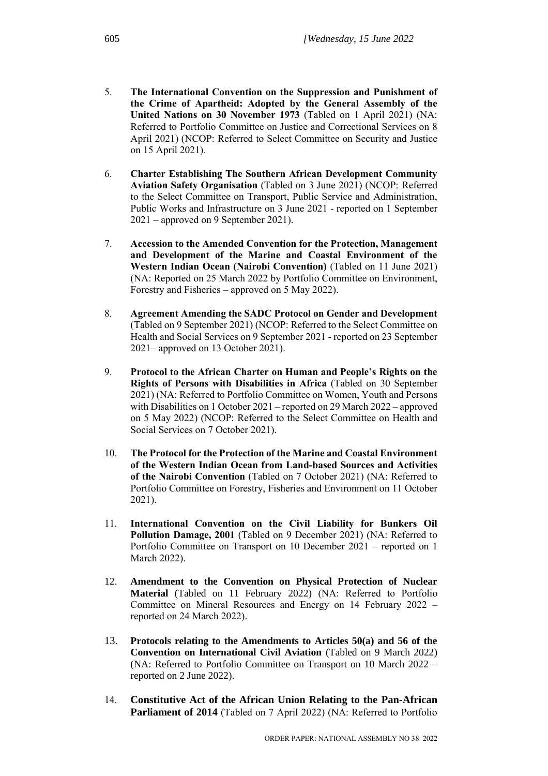- 5. **The International Convention on the Suppression and Punishment of the Crime of Apartheid: Adopted by the General Assembly of the United Nations on 30 November 1973** (Tabled on 1 April 2021) (NA: Referred to Portfolio Committee on Justice and Correctional Services on 8 April 2021) (NCOP: Referred to Select Committee on Security and Justice on 15 April 2021).
- 6. **Charter Establishing The Southern African Development Community Aviation Safety Organisation** (Tabled on 3 June 2021) (NCOP: Referred to the Select Committee on Transport, Public Service and Administration, Public Works and Infrastructure on 3 June 2021 - reported on 1 September 2021 – approved on 9 September 2021).
- 7. **Accession to the Amended Convention for the Protection, Management and Development of the Marine and Coastal Environment of the Western Indian Ocean (Nairobi Convention)** (Tabled on 11 June 2021) (NA: Reported on 25 March 2022 by Portfolio Committee on Environment, Forestry and Fisheries – approved on 5 May 2022).
- 8. **Agreement Amending the SADC Protocol on Gender and Development**  (Tabled on 9 September 2021) (NCOP: Referred to the Select Committee on Health and Social Services on 9 September 2021 - reported on 23 September 2021– approved on 13 October 2021).
- 9. **Protocol to the African Charter on Human and People's Rights on the Rights of Persons with Disabilities in Africa** (Tabled on 30 September 2021) (NA: Referred to Portfolio Committee on Women, Youth and Persons with Disabilities on 1 October 2021 – reported on 29 March 2022 – approved on 5 May 2022) (NCOP: Referred to the Select Committee on Health and Social Services on 7 October 2021).
- 10. **The Protocol for the Protection of the Marine and Coastal Environment of the Western Indian Ocean from Land-based Sources and Activities of the Nairobi Convention** (Tabled on 7 October 2021) (NA: Referred to Portfolio Committee on Forestry, Fisheries and Environment on 11 October 2021).
- 11. **International Convention on the Civil Liability for Bunkers Oil Pollution Damage, 2001** (Tabled on 9 December 2021) (NA: Referred to Portfolio Committee on Transport on 10 December 2021 – reported on 1 March 2022).
- 12. **Amendment to the Convention on Physical Protection of Nuclear Material** (Tabled on 11 February 2022) (NA: Referred to Portfolio Committee on Mineral Resources and Energy on 14 February 2022 – reported on 24 March 2022).
- 13. **Protocols relating to the Amendments to Articles 50(a) and 56 of the Convention on International Civil Aviation** (Tabled on 9 March 2022) (NA: Referred to Portfolio Committee on Transport on 10 March 2022 – reported on 2 June 2022).
- 14. **Constitutive Act of the African Union Relating to the Pan-African Parliament of 2014** (Tabled on 7 April 2022) (NA: Referred to Portfolio